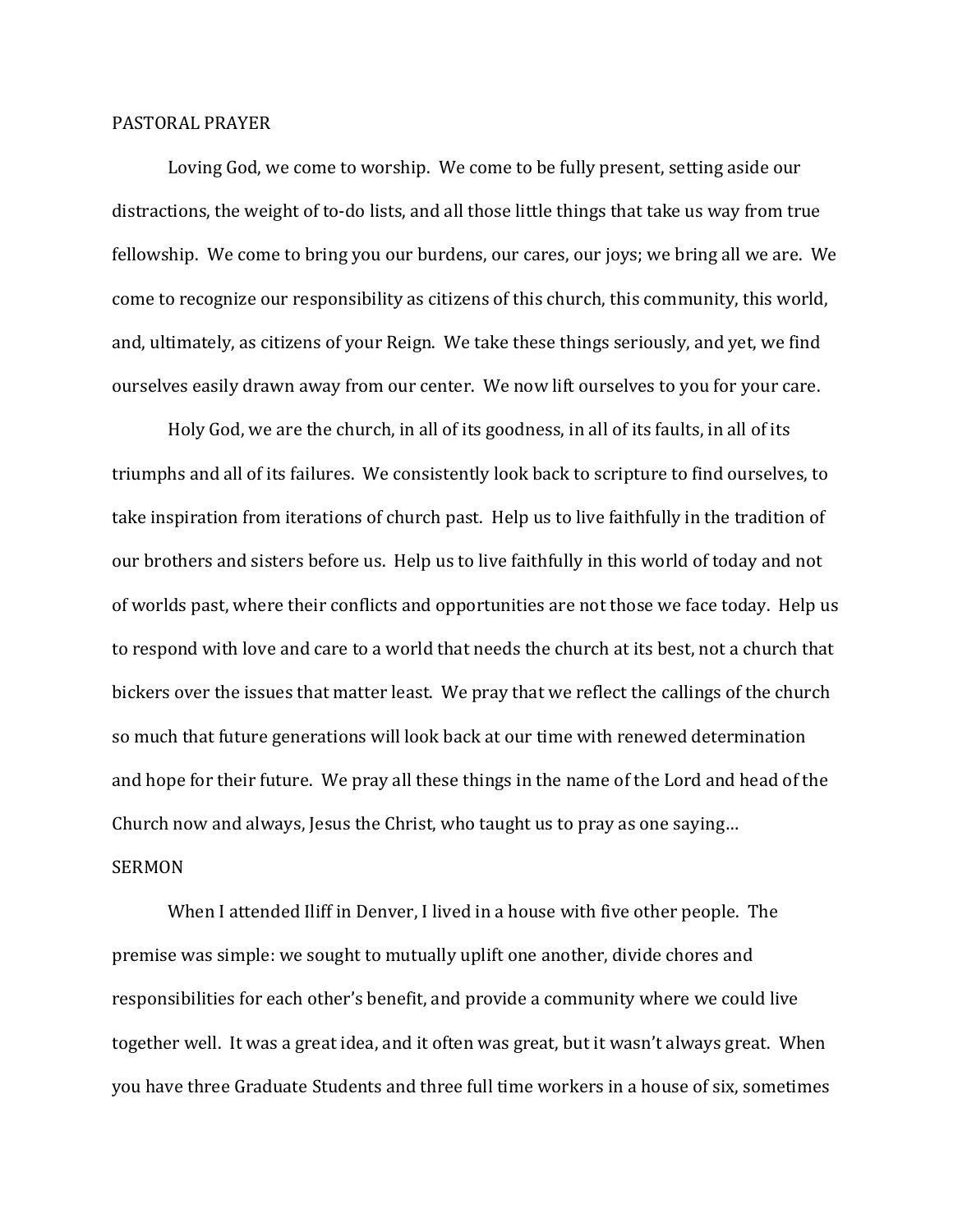## PASTORAL PRAYER

Loving God, we come to worship. We come to be fully present, setting aside our distractions, the weight of to-do lists, and all those little things that take us way from true fellowship. We come to bring you our burdens, our cares, our joys; we bring all we are. We come to recognize our responsibility as citizens of this church, this community, this world, and, ultimately, as citizens of your Reign. We take these things seriously, and yet, we find ourselves easily drawn away from our center. We now lift ourselves to you for your care.

Holy God, we are the church, in all of its goodness, in all of its faults, in all of its triumphs and all of its failures. We consistently look back to scripture to find ourselves, to take inspiration from iterations of church past. Help us to live faithfully in the tradition of our brothers and sisters before us. Help us to live faithfully in this world of today and not of worlds past, where their conflicts and opportunities are not those we face today. Help us to respond with love and care to a world that needs the church at its best, not a church that bickers over the issues that matter least. We pray that we reflect the callings of the church so much that future generations will look back at our time with renewed determination and hope for their future. We pray all these things in the name of the Lord and head of the Church now and always, Jesus the Christ, who taught us to pray as one saying… SERMON

When I attended Iliff in Denver, I lived in a house with five other people. The premise was simple: we sought to mutually uplift one another, divide chores and responsibilities for each other's benefit, and provide a community where we could live together well. It was a great idea, and it often was great, but it wasn't always great. When you have three Graduate Students and three full time workers in a house of six, sometimes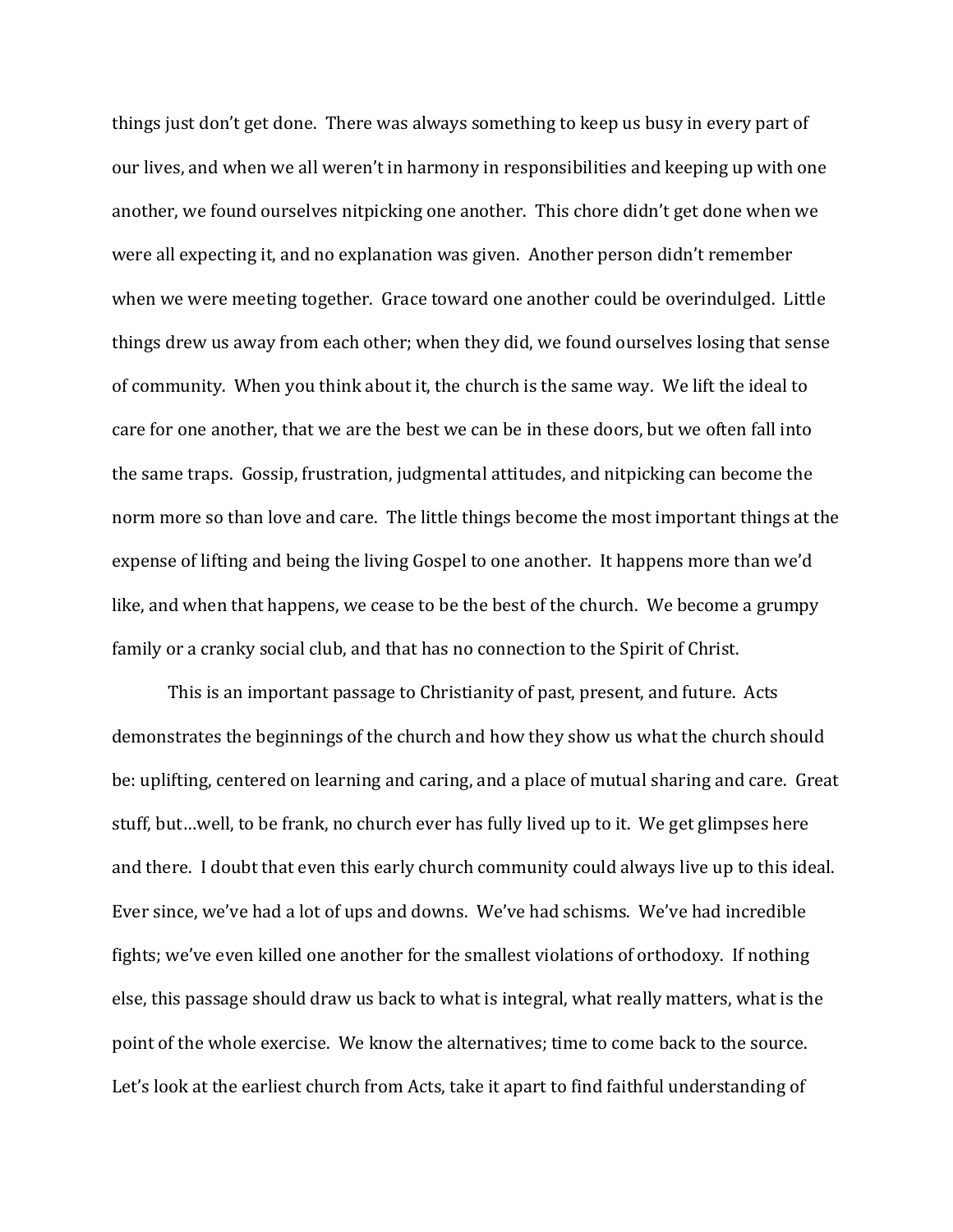things just don't get done. There was always something to keep us busy in every part of our lives, and when we all weren't in harmony in responsibilities and keeping up with one another, we found ourselves nitpicking one another. This chore didn't get done when we were all expecting it, and no explanation was given. Another person didn't remember when we were meeting together. Grace toward one another could be overindulged. Little things drew us away from each other; when they did, we found ourselves losing that sense of community. When you think about it, the church is the same way. We lift the ideal to care for one another, that we are the best we can be in these doors, but we often fall into the same traps. Gossip, frustration, judgmental attitudes, and nitpicking can become the norm more so than love and care. The little things become the most important things at the expense of lifting and being the living Gospel to one another. It happens more than we'd like, and when that happens, we cease to be the best of the church. We become a grumpy family or a cranky social club, and that has no connection to the Spirit of Christ.

This is an important passage to Christianity of past, present, and future. Acts demonstrates the beginnings of the church and how they show us what the church should be: uplifting, centered on learning and caring, and a place of mutual sharing and care. Great stuff, but…well, to be frank, no church ever has fully lived up to it. We get glimpses here and there. I doubt that even this early church community could always live up to this ideal. Ever since, we've had a lot of ups and downs. We've had schisms. We've had incredible fights; we've even killed one another for the smallest violations of orthodoxy. If nothing else, this passage should draw us back to what is integral, what really matters, what is the point of the whole exercise. We know the alternatives; time to come back to the source. Let's look at the earliest church from Acts, take it apart to find faithful understanding of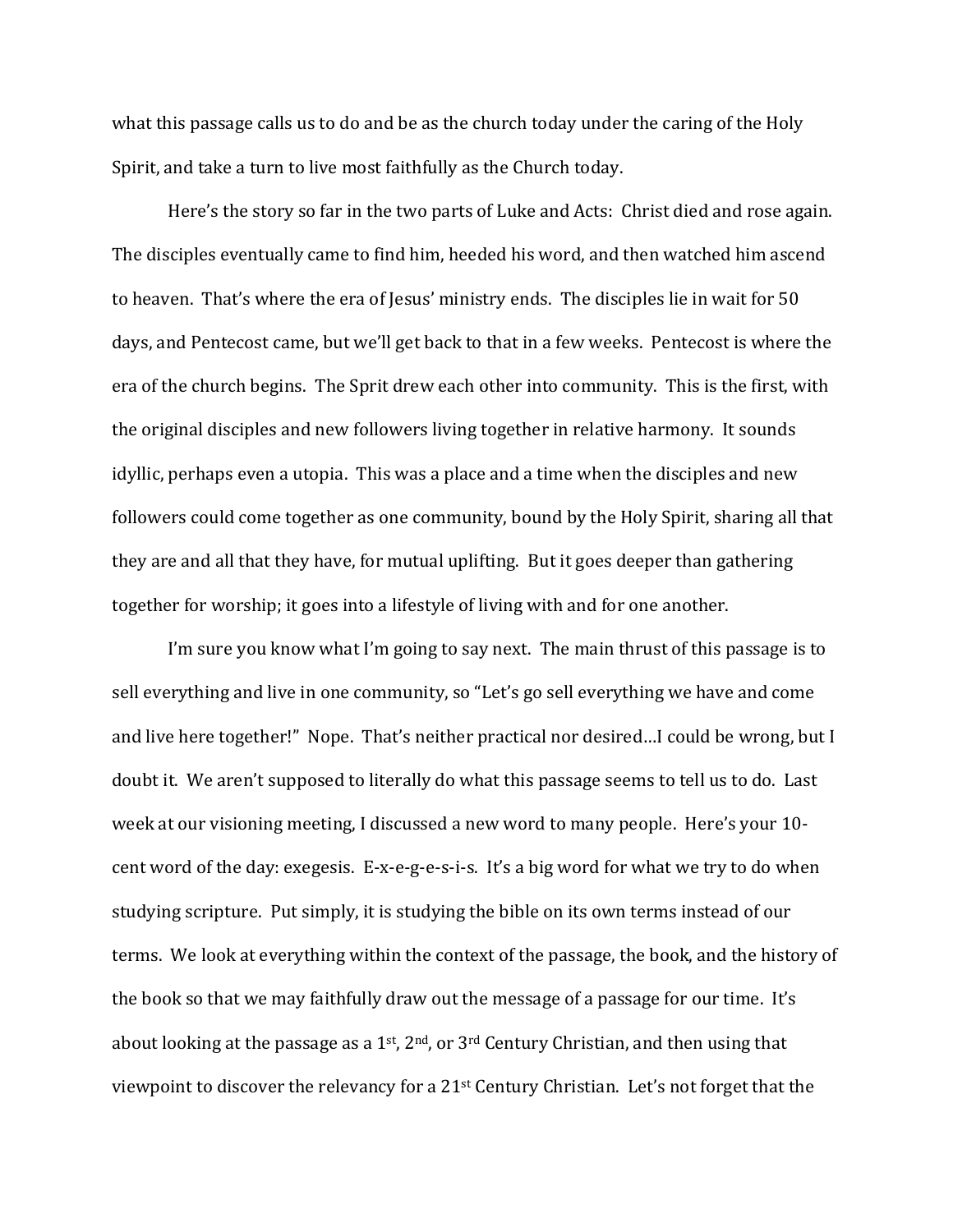what this passage calls us to do and be as the church today under the caring of the Holy Spirit, and take a turn to live most faithfully as the Church today.

Here's the story so far in the two parts of Luke and Acts: Christ died and rose again. The disciples eventually came to find him, heeded his word, and then watched him ascend to heaven. That's where the era of Jesus' ministry ends. The disciples lie in wait for 50 days, and Pentecost came, but we'll get back to that in a few weeks. Pentecost is where the era of the church begins. The Sprit drew each other into community. This is the first, with the original disciples and new followers living together in relative harmony. It sounds idyllic, perhaps even a utopia. This was a place and a time when the disciples and new followers could come together as one community, bound by the Holy Spirit, sharing all that they are and all that they have, for mutual uplifting. But it goes deeper than gathering together for worship; it goes into a lifestyle of living with and for one another.

I'm sure you know what I'm going to say next. The main thrust of this passage is to sell everything and live in one community, so "Let's go sell everything we have and come and live here together!" Nope. That's neither practical nor desired…I could be wrong, but I doubt it. We aren't supposed to literally do what this passage seems to tell us to do. Last week at our visioning meeting, I discussed a new word to many people. Here's your 10 cent word of the day: exegesis. E-x-e-g-e-s-i-s. It's a big word for what we try to do when studying scripture. Put simply, it is studying the bible on its own terms instead of our terms. We look at everything within the context of the passage, the book, and the history of the book so that we may faithfully draw out the message of a passage for our time. It's about looking at the passage as a  $1<sup>st</sup>$ ,  $2<sup>nd</sup>$ , or  $3<sup>rd</sup>$  Century Christian, and then using that viewpoint to discover the relevancy for a 21st Century Christian. Let's not forget that the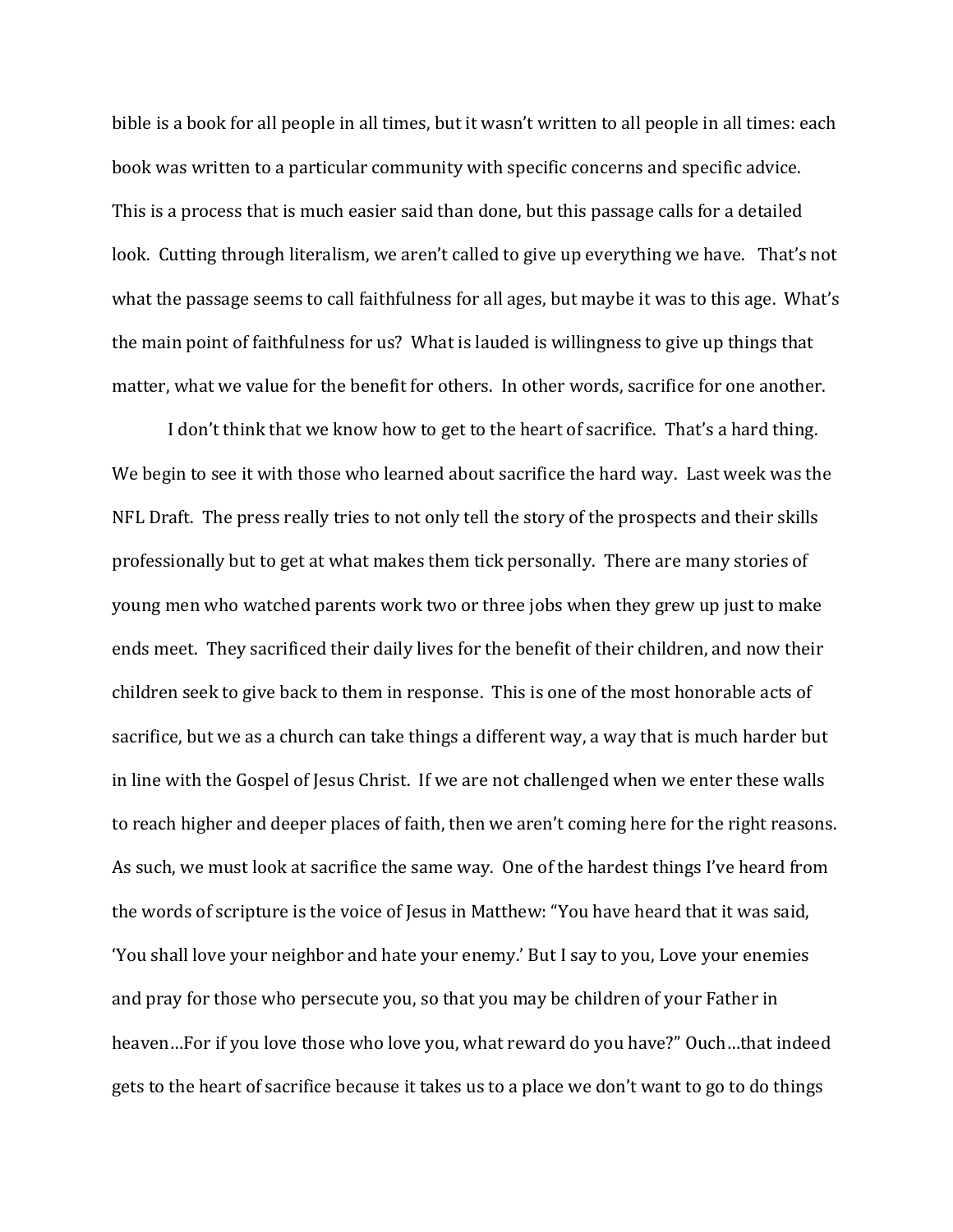bible is a book for all people in all times, but it wasn't written to all people in all times: each book was written to a particular community with specific concerns and specific advice. This is a process that is much easier said than done, but this passage calls for a detailed look. Cutting through literalism, we aren't called to give up everything we have. That's not what the passage seems to call faithfulness for all ages, but maybe it was to this age. What's the main point of faithfulness for us? What is lauded is willingness to give up things that matter, what we value for the benefit for others. In other words, sacrifice for one another.

I don't think that we know how to get to the heart of sacrifice. That's a hard thing. We begin to see it with those who learned about sacrifice the hard way. Last week was the NFL Draft. The press really tries to not only tell the story of the prospects and their skills professionally but to get at what makes them tick personally. There are many stories of young men who watched parents work two or three jobs when they grew up just to make ends meet. They sacrificed their daily lives for the benefit of their children, and now their children seek to give back to them in response. This is one of the most honorable acts of sacrifice, but we as a church can take things a different way, a way that is much harder but in line with the Gospel of Jesus Christ. If we are not challenged when we enter these walls to reach higher and deeper places of faith, then we aren't coming here for the right reasons. As such, we must look at sacrifice the same way. One of the hardest things I've heard from the words of scripture is the voice of Jesus in Matthew: "You have heard that it was said, 'You shall love your neighbor and hate your enemy.' But I say to you, Love your enemies and pray for those who persecute you, so that you may be children of your Father in heaven…For if you love those who love you, what reward do you have?" Ouch…that indeed gets to the heart of sacrifice because it takes us to a place we don't want to go to do things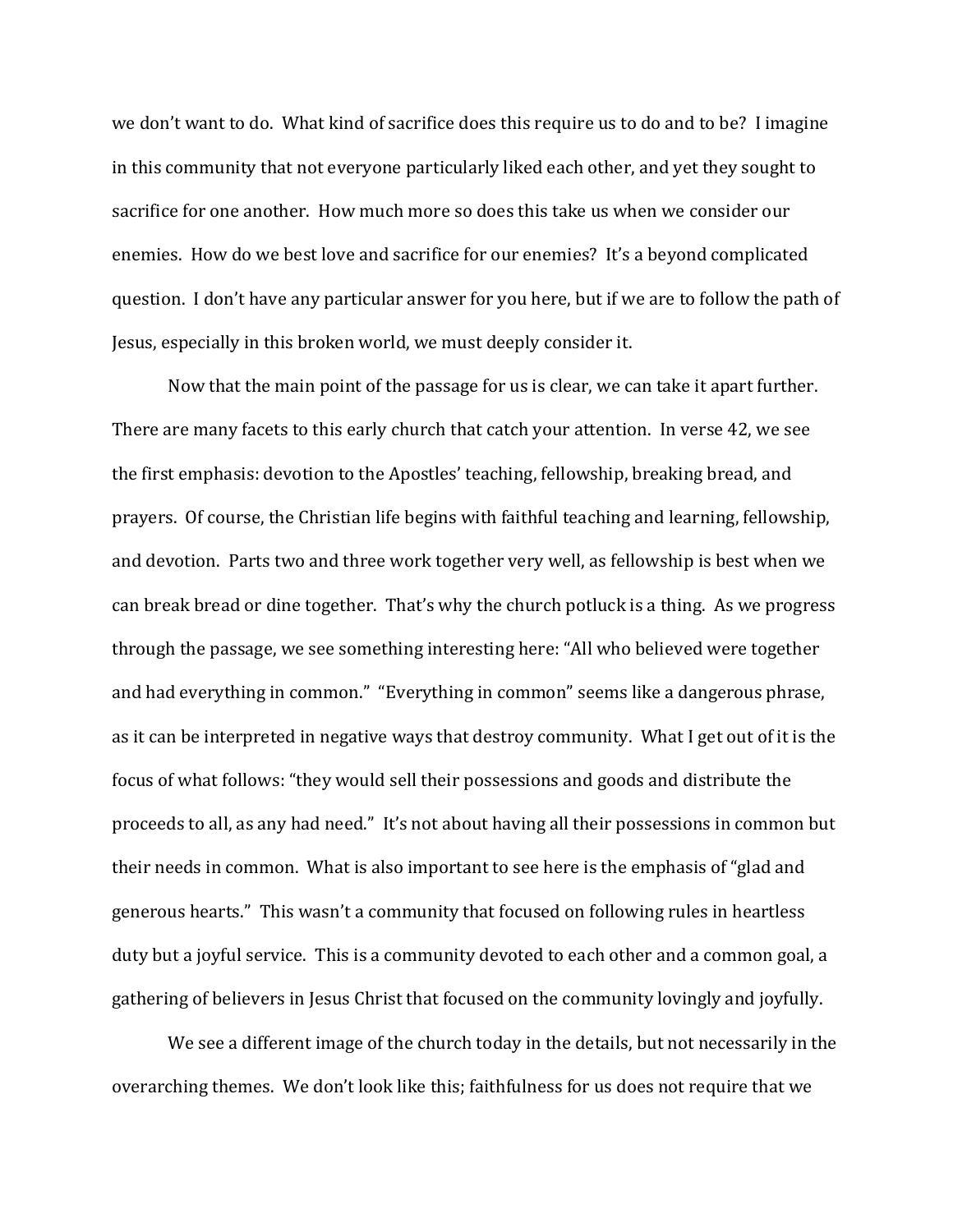we don't want to do. What kind of sacrifice does this require us to do and to be? I imagine in this community that not everyone particularly liked each other, and yet they sought to sacrifice for one another. How much more so does this take us when we consider our enemies. How do we best love and sacrifice for our enemies? It's a beyond complicated question. I don't have any particular answer for you here, but if we are to follow the path of Jesus, especially in this broken world, we must deeply consider it.

Now that the main point of the passage for us is clear, we can take it apart further. There are many facets to this early church that catch your attention. In verse 42, we see the first emphasis: devotion to the Apostles' teaching, fellowship, breaking bread, and prayers. Of course, the Christian life begins with faithful teaching and learning, fellowship, and devotion. Parts two and three work together very well, as fellowship is best when we can break bread or dine together. That's why the church potluck is a thing. As we progress through the passage, we see something interesting here: "All who believed were together and had everything in common." "Everything in common" seems like a dangerous phrase, as it can be interpreted in negative ways that destroy community. What I get out of it is the focus of what follows: "they would sell their possessions and goods and distribute the proceeds to all, as any had need." It's not about having all their possessions in common but their needs in common. What is also important to see here is the emphasis of "glad and generous hearts." This wasn't a community that focused on following rules in heartless duty but a joyful service. This is a community devoted to each other and a common goal, a gathering of believers in Jesus Christ that focused on the community lovingly and joyfully.

We see a different image of the church today in the details, but not necessarily in the overarching themes. We don't look like this; faithfulness for us does not require that we